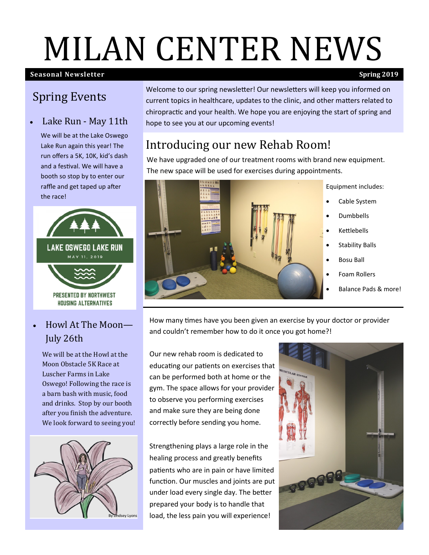# MILAN CENTER NEWS

#### **Seasonal Newsletter**) **Spring 2019**

## Spring Events

#### Lake Run - May 11th

We will be at the Lake Oswego Lake Run again this year! The run offers a 5K, 10K, kid's dash and a festival. We will have a booth so stop by to enter our raffle and get taped up after the race!



### • Howl At The Moon— July 26th

 We will be at the Howl at the Moon Obstacle 5K Race at Luscher Farms in Lake Oswego! Following the race is a barn bash with music, food and drinks. Stop by our booth after you finish the adventure. We look forward to seeing you!



Welcome to our spring newsletter! Our newsletters will keep you informed on current topics in healthcare, updates to the clinic, and other matters related to chiropractic and your health. We hope you are enjoying the start of spring and hope to see you at our upcoming events!

# Introducing our new Rehab Room!

We have upgraded one of our treatment rooms with brand new equipment. The new space will be used for exercises during appointments.



How many times have you been given an exercise by your doctor or provider and couldn't remember how to do it once you got home?!

Our new rehab room is dedicated to educating our patients on exercises that can be performed both at home or the gym. The space allows for your provider to observe you performing exercises and make sure they are being done correctly before sending you home.

Strengthening plays a large role in the healing process and greatly benefits patients who are in pain or have limited function. Our muscles and joints are put under load every single day. The better prepared your body is to handle that load, the less pain you will experience!